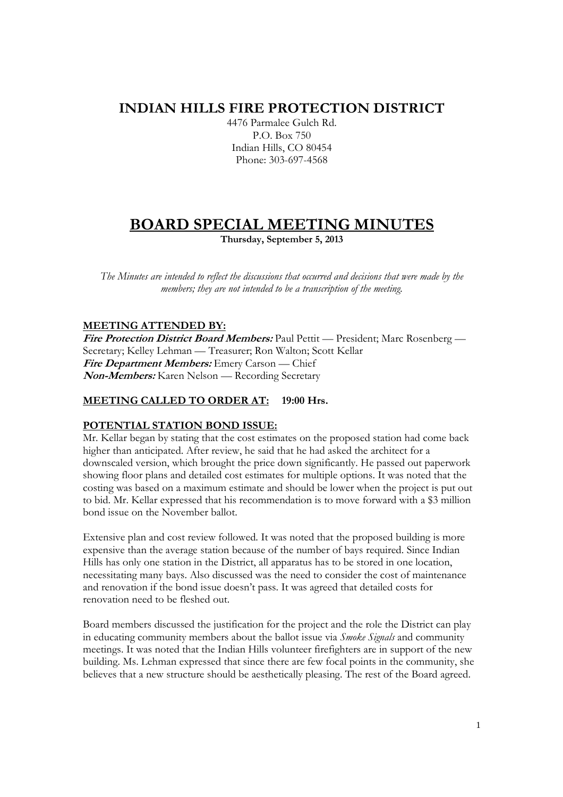## **INDIAN HILLS FIRE PROTECTION DISTRICT**

4476 Parmalee Gulch Rd. P.O. Box 750 Indian Hills, CO 80454 Phone: 303-697-4568

# **BOARD SPECIAL MEETING MINUTES**

**Thursday, September 5, 2013** 

*The Minutes are intended to reflect the discussions that occurred and decisions that were made by the members; they are not intended to be a transcription of the meeting.* 

#### **MEETING ATTENDED BY:**

**Fire Protection District Board Members:** Paul Pettit — President; Marc Rosenberg — Secretary; Kelley Lehman — Treasurer; Ron Walton; Scott Kellar **Fire Department Members:** Emery Carson — Chief **Non-Members:** Karen Nelson — Recording Secretary

#### **MEETING CALLED TO ORDER AT: 19:00 Hrs.**

### **POTENTIAL STATION BOND ISSUE:**

Mr. Kellar began by stating that the cost estimates on the proposed station had come back higher than anticipated. After review, he said that he had asked the architect for a downscaled version, which brought the price down significantly. He passed out paperwork showing floor plans and detailed cost estimates for multiple options. It was noted that the costing was based on a maximum estimate and should be lower when the project is put out to bid. Mr. Kellar expressed that his recommendation is to move forward with a \$3 million bond issue on the November ballot.

Extensive plan and cost review followed. It was noted that the proposed building is more expensive than the average station because of the number of bays required. Since Indian Hills has only one station in the District, all apparatus has to be stored in one location, necessitating many bays. Also discussed was the need to consider the cost of maintenance and renovation if the bond issue doesn't pass. It was agreed that detailed costs for renovation need to be fleshed out.

Board members discussed the justification for the project and the role the District can play in educating community members about the ballot issue via *Smoke Signals* and community meetings. It was noted that the Indian Hills volunteer firefighters are in support of the new building. Ms. Lehman expressed that since there are few focal points in the community, she believes that a new structure should be aesthetically pleasing. The rest of the Board agreed.